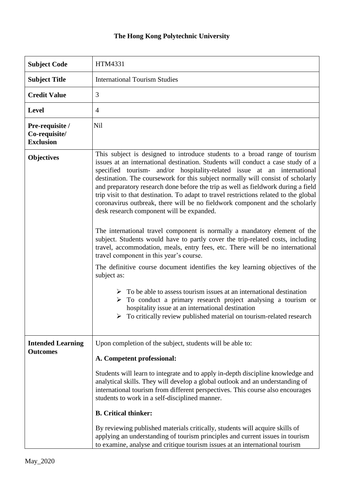## **The Hong Kong Polytechnic University**

| <b>Subject Code</b>                                  | HTM4331                                                                                                                                                                                                                                                                                                                                                                                                                                                                                                                                                                                                                                                                                                                                                                                                                                                                                                                                                                                                                                                                                                                                                                                                                                                                                                                   |
|------------------------------------------------------|---------------------------------------------------------------------------------------------------------------------------------------------------------------------------------------------------------------------------------------------------------------------------------------------------------------------------------------------------------------------------------------------------------------------------------------------------------------------------------------------------------------------------------------------------------------------------------------------------------------------------------------------------------------------------------------------------------------------------------------------------------------------------------------------------------------------------------------------------------------------------------------------------------------------------------------------------------------------------------------------------------------------------------------------------------------------------------------------------------------------------------------------------------------------------------------------------------------------------------------------------------------------------------------------------------------------------|
| <b>Subject Title</b>                                 | <b>International Tourism Studies</b>                                                                                                                                                                                                                                                                                                                                                                                                                                                                                                                                                                                                                                                                                                                                                                                                                                                                                                                                                                                                                                                                                                                                                                                                                                                                                      |
| <b>Credit Value</b>                                  | 3                                                                                                                                                                                                                                                                                                                                                                                                                                                                                                                                                                                                                                                                                                                                                                                                                                                                                                                                                                                                                                                                                                                                                                                                                                                                                                                         |
| <b>Level</b>                                         | $\overline{4}$                                                                                                                                                                                                                                                                                                                                                                                                                                                                                                                                                                                                                                                                                                                                                                                                                                                                                                                                                                                                                                                                                                                                                                                                                                                                                                            |
| Pre-requisite /<br>Co-requisite/<br><b>Exclusion</b> | <b>Nil</b>                                                                                                                                                                                                                                                                                                                                                                                                                                                                                                                                                                                                                                                                                                                                                                                                                                                                                                                                                                                                                                                                                                                                                                                                                                                                                                                |
| <b>Objectives</b>                                    | This subject is designed to introduce students to a broad range of tourism<br>issues at an international destination. Students will conduct a case study of a<br>specified tourism- and/or hospitality-related issue at an international<br>destination. The coursework for this subject normally will consist of scholarly<br>and preparatory research done before the trip as well as fieldwork during a field<br>trip visit to that destination. To adapt to travel restrictions related to the global<br>coronavirus outbreak, there will be no fieldwork component and the scholarly<br>desk research component will be expanded.<br>The international travel component is normally a mandatory element of the<br>subject. Students would have to partly cover the trip-related costs, including<br>travel, accommodation, meals, entry fees, etc. There will be no international<br>travel component in this year's course.<br>The definitive course document identifies the key learning objectives of the<br>subject as:<br>$\triangleright$ To be able to assess tourism issues at an international destination<br>To conduct a primary research project analysing a tourism or<br>➤<br>hospitality issue at an international destination<br>To critically review published material on tourism-related research |
| <b>Intended Learning</b><br><b>Outcomes</b>          | Upon completion of the subject, students will be able to:<br>A. Competent professional:<br>Students will learn to integrate and to apply in-depth discipline knowledge and<br>analytical skills. They will develop a global outlook and an understanding of<br>international tourism from different perspectives. This course also encourages<br>students to work in a self-disciplined manner.<br><b>B.</b> Critical thinker:<br>By reviewing published materials critically, students will acquire skills of<br>applying an understanding of tourism principles and current issues in tourism<br>to examine, analyse and critique tourism issues at an international tourism                                                                                                                                                                                                                                                                                                                                                                                                                                                                                                                                                                                                                                            |